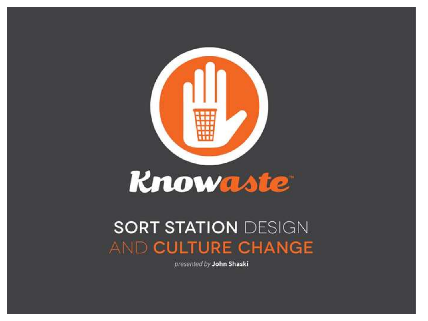

### **SORT STATION DESIGN AND CULTURE CHANGE**

presented by John Shaski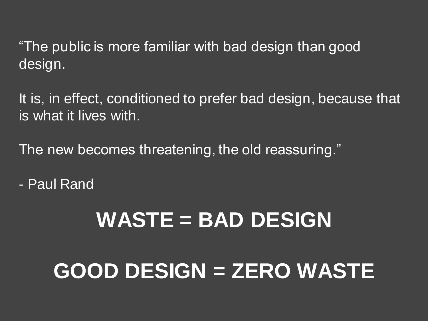"The public is more familiar with bad design than good design.

It is, in effect, conditioned to prefer bad design, because that is what it lives with.

The new becomes threatening, the old reassuring."

- Paul Rand

# **WASTE = BAD DESIGN**

# **GOOD DESIGN = ZERO WASTE**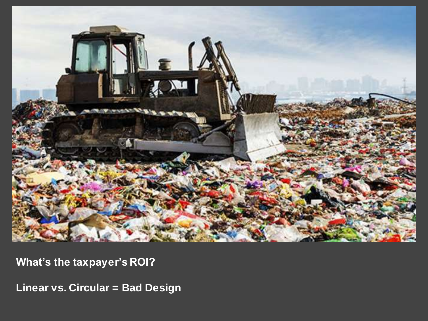

**What's the taxpayer's ROI?**

**Linear vs. Circular = Bad Design**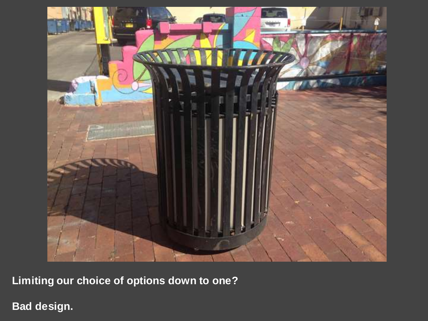

**Limiting our choice of options down to one?**

**Bad design.**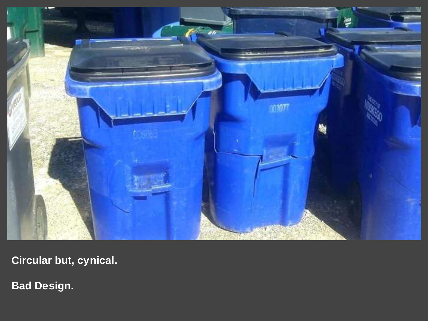

**Circular but, cynical.**

**Bad Design.**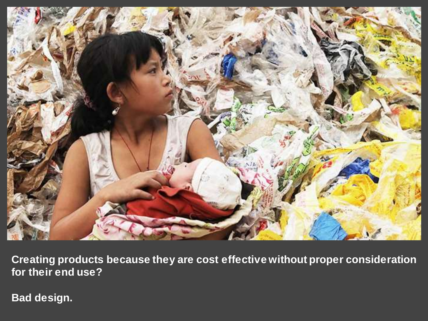

**Creating products because they are cost effective without proper consideration for their end use?**

**Bad design.**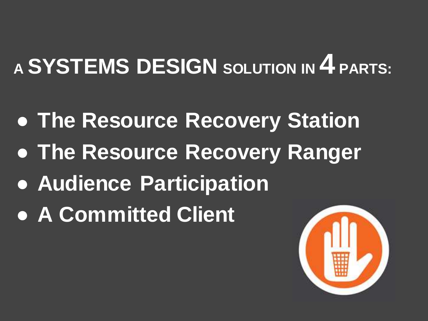# **<sup>A</sup>SYSTEMS DESIGN SOLUTION IN 4 PARTS:**

- **The Resource Recovery Station**
- **The Resource Recovery Ranger**
- **Audience Participation**
- **A Committed Client**

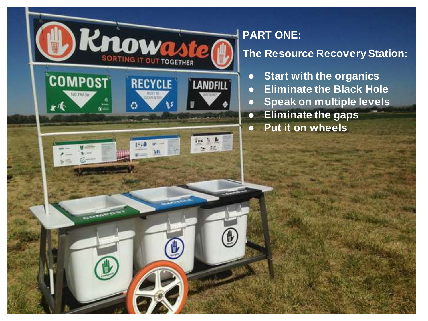

#### **PART ONE: The Resource Recovery Station:**

- **Start with the organics**
- **Eliminate the Black Hole**
- **Speak on multiple levels**
- **Eliminate the gaps**
- **Put it on wheels**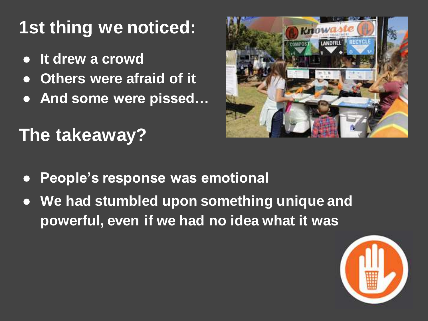# **1st thing we noticed:**

- **It drew a crowd**
- **Others were afraid of it**
- **And some were pissed…**

# **The takeaway?**



- **People's response was emotional**
- **We had stumbled upon something unique and powerful, even if we had no idea what it was**

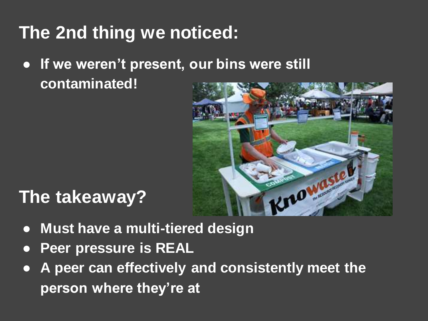## **The 2nd thing we noticed:**

● **If we weren't present, our bins were still contaminated!**



### **The takeaway?**

- **Must have a multi-tiered design**
- **Peer pressure is REAL**
- **A peer can effectively and consistently meet the person where they're at**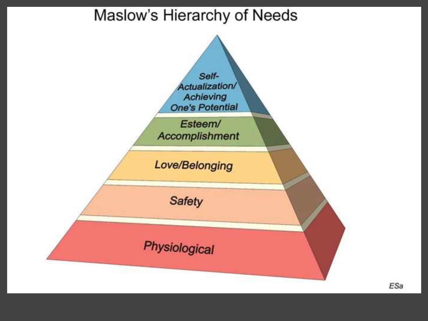#### Maslow's Hierarchy of Needs

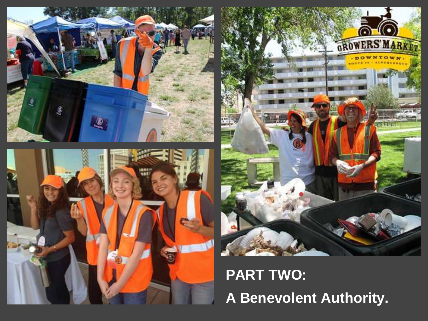





## **PART TWO: A Benevolent Authority.**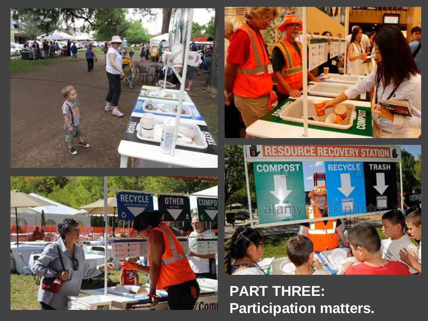





#### **PART THREE: Participation matters.**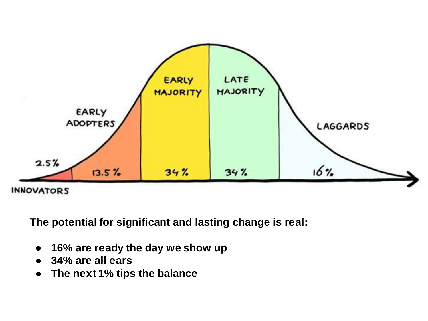

**The potential for significant and lasting change is real:**

- **16% are ready the day we show up**
- **34% are all ears**
- **The next 1% tips the balance**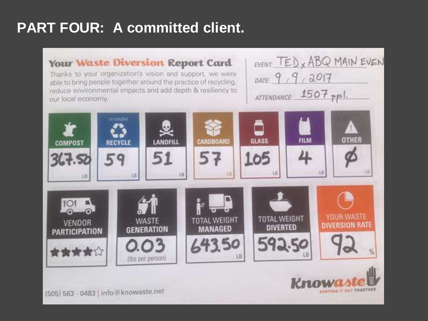#### **PART FOUR: A committed client.**

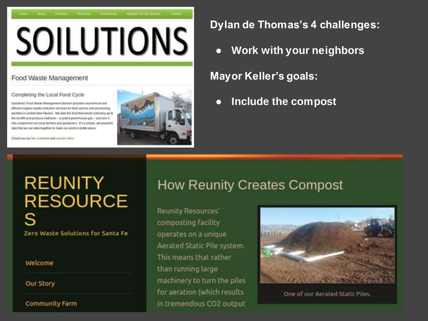

#### Food Waste Management

#### Completing the Local Food Cycle

Solutions' Food Warre Management division provides economical and efficient organic waste collection services for food service and processing. busines in central him Mexico. We lake the food that would ardinarily go to the tandfit and produce metherie - a potent greenboose gas - and turn it into compost for our local farmers and gardeners. If I is simple, yet powerful. Marg that we can take topidtwr to make our world a better place.

Check our our law schedule and sorvice tiain.



**Dylan de Thomas's 4 challenges:**

**Work with your neighbors** 

**Mayor Keller's goals:**

● **Include the compost**

# **REUNITY RESOURCE** Zero Waste Solutions for Santa Fe

**Welcome** 

**Our Story** 

**Community Farm** 

#### **How Reunity Creates Compost**

**Reunity Resources'** composting facility operates on a unique Aerated Static Pile system. This means that rather than running large machinery to turn the piles for aeration (which results in tremendous CO2 output



One of our Aerated Static Piles.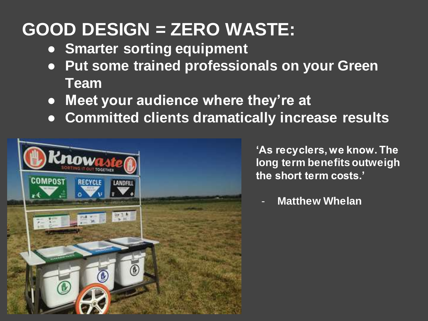## **GOOD DESIGN = ZERO WASTE:**

- **Smarter sorting equipment**
- **Put some trained professionals on your Green Team**
- **Meet your audience where they're at**
- **Committed clients dramatically increase results**



**'As recyclers, we know. The long term benefits outweigh the short term costs.'**

**Matthew Whelan**